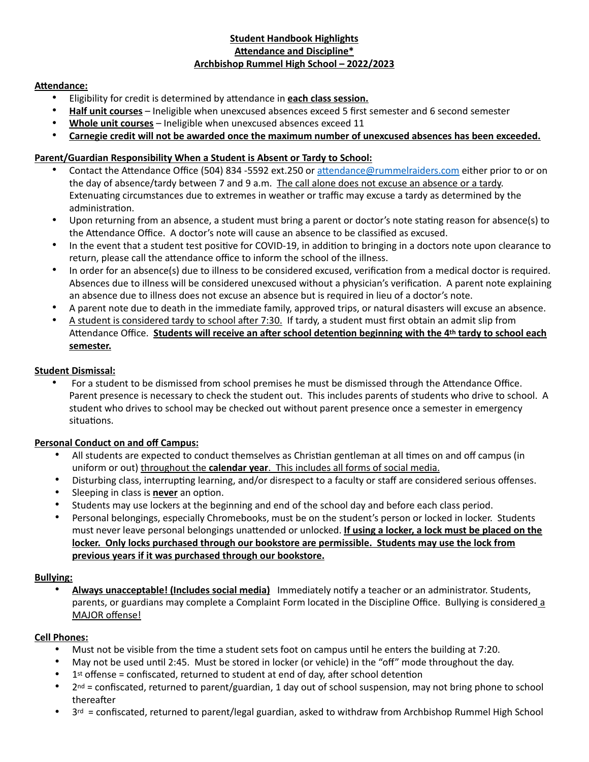## **Student Handbook Highlights Attendance and Discipline\* Archbishop Rummel High School – 2022/2023**

### **Attendance:**

- Eligibility for credit is determined by attendance in **each class session.**
- **Half unit courses** Ineligible when unexcused absences exceed 5 first semester and 6 second semester
- **Whole unit courses** Ineligible when unexcused absences exceed 11
- **Carnegie credit will not be awarded once the maximum number of unexcused absences has been exceeded.**

# **Parent/Guardian Responsibility When a Student is Absent or Tardy to School:**

- Contact the Attendance Office (504) 834 -5592 ext.250 or [attendance@rummelraiders.com](mailto:attendance@rummelraiders.com) either prior to or on the day of absence/tardy between 7 and 9 a.m. The call alone does not excuse an absence or a tardy. Extenuating circumstances due to extremes in weather or traffic may excuse a tardy as determined by the administration.
- Upon returning from an absence, a student must bring a parent or doctor's note stating reason for absence(s) to the Attendance Office. A doctor's note will cause an absence to be classified as excused.
- In the event that a student test positive for COVID-19, in addition to bringing in a doctors note upon clearance to return, please call the attendance office to inform the school of the illness.
- In order for an absence(s) due to illness to be considered excused, verification from a medical doctor is required. Absences due to illness will be considered unexcused without a physician's verification. A parent note explaining an absence due to illness does not excuse an absence but is required in lieu of a doctor's note.
- A parent note due to death in the immediate family, approved trips, or natural disasters will excuse an absence.
- A student is considered tardy to school after 7:30. If tardy, a student must first obtain an admit slip from Attendance Office. **Students will receive an after school detention beginning with the 4th tardy to school each semester.**

## **Student Dismissal:**

• For a student to be dismissed from school premises he must be dismissed through the Attendance Office. Parent presence is necessary to check the student out. This includes parents of students who drive to school. A student who drives to school may be checked out without parent presence once a semester in emergency situations.

## **Personal Conduct on and off Campus:**

- All students are expected to conduct themselves as Christian gentleman at all times on and off campus (in uniform or out) throughout the **calendar year**. This includes all forms of social media.
- Disturbing class, interrupting learning, and/or disrespect to a faculty or staff are considered serious offenses.
- Sleeping in class is **never** an option.
- Students may use lockers at the beginning and end of the school day and before each class period.
- Personal belongings, especially Chromebooks, must be on the student's person or locked in locker. Students must never leave personal belongings unattended or unlocked. **If using a locker, a lock must be placed on the locker. Only locks purchased through our bookstore are permissible. Students may use the lock from previous years if it was purchased through our bookstore.**

## **Bullying:**

• **Always unacceptable! (Includes social media)** Immediately notify a teacher or an administrator. Students, parents, or guardians may complete a Complaint Form located in the Discipline Office. Bullying is considered a MAJOR offense!

## **Cell Phones:**

- Must not be visible from the time a student sets foot on campus until he enters the building at 7:20.
- May not be used until 2:45. Must be stored in locker (or vehicle) in the "off" mode throughout the day.
- $1<sup>st</sup>$  offense = confiscated, returned to student at end of day, after school detention
- $2^{nd}$  = confiscated, returned to parent/guardian, 1 day out of school suspension, may not bring phone to school thereafter
- $3<sup>rd</sup>$  = confiscated, returned to parent/legal guardian, asked to withdraw from Archbishop Rummel High School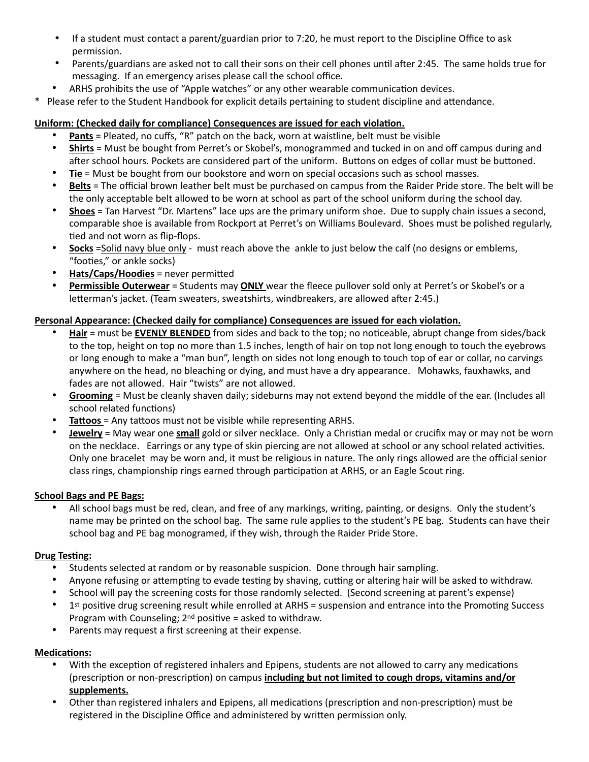- If a student must contact a parent/guardian prior to 7:20, he must report to the Discipline Office to ask permission.
- Parents/guardians are asked not to call their sons on their cell phones until after 2:45. The same holds true for messaging. If an emergency arises please call the school office.
- ARHS prohibits the use of "Apple watches" or any other wearable communication devices.
- \* Please refer to the Student Handbook for explicit details pertaining to student discipline and attendance.

# **Uniform: (Checked daily for compliance) Consequences are issued for each violation.**

- **Pants** = Pleated, no cuffs, "R" patch on the back, worn at waistline, belt must be visible
- **Shirts** = Must be bought from Perret's or Skobel's, monogrammed and tucked in on and off campus during and after school hours. Pockets are considered part of the uniform. Buttons on edges of collar must be buttoned.
- **Tie** = Must be bought from our bookstore and worn on special occasions such as school masses.
- **Belts** = The official brown leather belt must be purchased on campus from the Raider Pride store. The belt will be the only acceptable belt allowed to be worn at school as part of the school uniform during the school day.
- **Shoes** = Tan Harvest "Dr. Martens" lace ups are the primary uniform shoe. Due to supply chain issues a second, comparable shoe is available from Rockport at Perret's on Williams Boulevard. Shoes must be polished regularly, tied and not worn as flip-flops.
- **Socks** = Solid navy blue only must reach above the ankle to just below the calf (no designs or emblems, "footies," or ankle socks)
- **Hats/Caps/Hoodies** = never permitted
- **Permissible Outerwear** = Students may **ONLY** wear the fleece pullover sold only at Perret's or Skobel's or a letterman's jacket. (Team sweaters, sweatshirts, windbreakers, are allowed after 2:45.)

# **Personal Appearance: (Checked daily for compliance) Consequences are issued for each violation.**

- **Hair** = must be **EVENLY BLENDED** from sides and back to the top; no noticeable, abrupt change from sides/back to the top, height on top no more than 1.5 inches, length of hair on top not long enough to touch the eyebrows or long enough to make a "man bun", length on sides not long enough to touch top of ear or collar, no carvings anywhere on the head, no bleaching or dying, and must have a dry appearance. Mohawks, fauxhawks, and fades are not allowed. Hair "twists" are not allowed.
- **Grooming** = Must be cleanly shaven daily; sideburns may not extend beyond the middle of the ear. (Includes all school related functions)
- **Tattoos** = Any tattoos must not be visible while representing ARHS.
- **Jewelry** = May wear one **small** gold or silver necklace. Only a Christian medal or crucifix may or may not be worn on the necklace. Earrings or any type of skin piercing are not allowed at school or any school related activities. Only one bracelet may be worn and, it must be religious in nature. The only rings allowed are the official senior class rings, championship rings earned through participation at ARHS, or an Eagle Scout ring.

## **School Bags and PE Bags:**

• All school bags must be red, clean, and free of any markings, writing, painting, or designs. Only the student's name may be printed on the school bag. The same rule applies to the student's PE bag. Students can have their school bag and PE bag monogramed, if they wish, through the Raider Pride Store.

## **Drug Testing:**

- Students selected at random or by reasonable suspicion. Done through hair sampling.
- Anyone refusing or attempting to evade testing by shaving, cutting or altering hair will be asked to withdraw.
- School will pay the screening costs for those randomly selected. (Second screening at parent's expense)
- 1<sup>st</sup> positive drug screening result while enrolled at ARHS = suspension and entrance into the Promoting Success Program with Counseling; 2nd positive = asked to withdraw.
- Parents may request a first screening at their expense.

## **Medications:**

- With the exception of registered inhalers and Epipens, students are not allowed to carry any medications (prescription or non-prescription) on campus **including but not limited to cough drops, vitamins and/or supplements.**
- Other than registered inhalers and Epipens, all medications (prescription and non-prescription) must be registered in the Discipline Office and administered by written permission only.